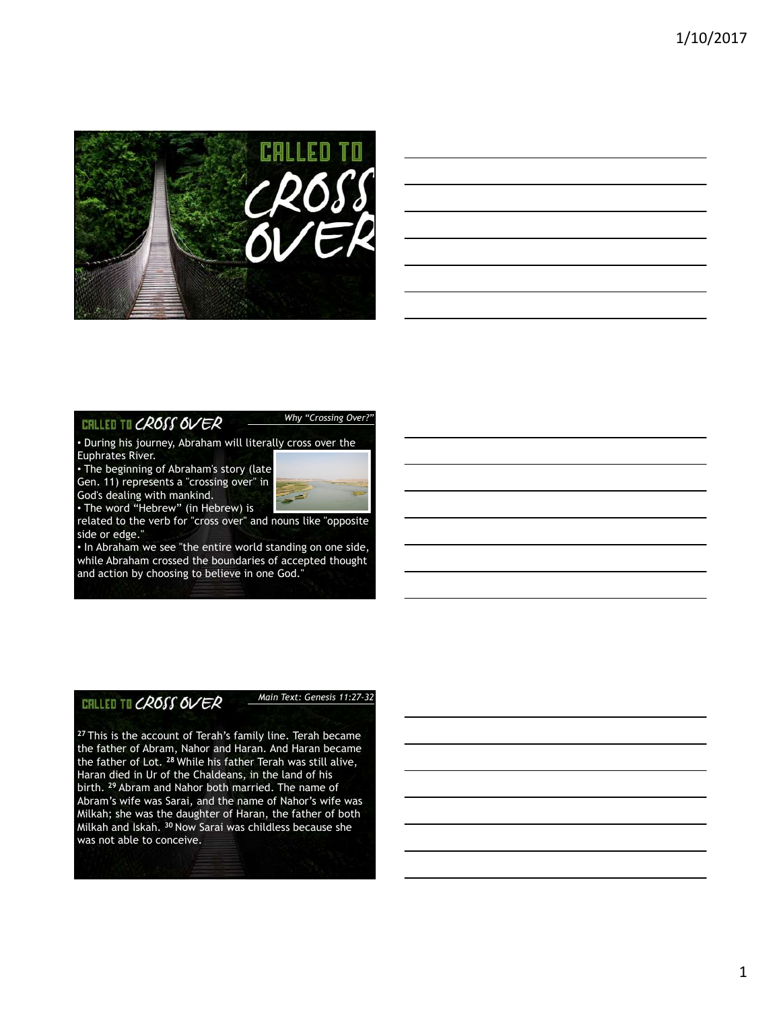

| <u> 1989 - Johann Stoff, amerikansk politiker (d. 1989)</u> |  |                     |
|-------------------------------------------------------------|--|---------------------|
| <u> 1989 - Johann Barn, amerikansk politiker (d. 1989)</u>  |  | $\sim$ 0.000 $\sim$ |
|                                                             |  |                     |

# **CHLLED TO CROSS OVER**

*Why "Crossing Over?"*

• During his journey, Abraham will literally cross over the Euphrates River.

• The beginning of Abraham's story (late Gen. 11) represents a "crossing over" in God's dealing with mankind.



related to the verb for "cross over" and nouns like "opposite side or edge."

• In Abraham we see "the entire world standing on one side, while Abraham crossed the boundaries of accepted thought and action by choosing to believe in one God."

# CHLLED TO CROSS OVER

*Main Text: Genesis 11:27-32*

**<sup>27</sup>** This is the account of Terah's family line. Terah became the father of Abram, Nahor and Haran. And Haran became the father of Lot. **<sup>28</sup>** While his father Terah was still alive, Haran died in Ur of the Chaldeans, in the land of his birth. **<sup>29</sup>** Abram and Nahor both married. The name of Abram's wife was Sarai, and the name of Nahor's wife was Milkah; she was the daughter of Haran, the father of both Milkah and Iskah. **<sup>30</sup>** Now Sarai was childless because she was not able to conceive.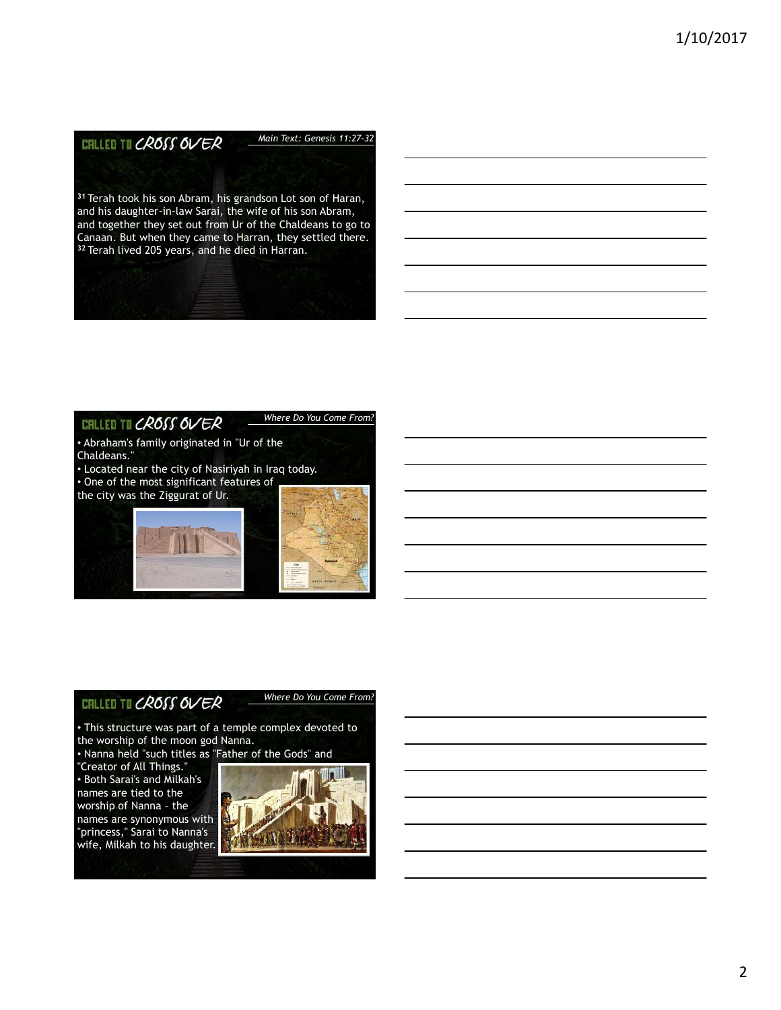#### **CRLLED TO CROSS OVER** *Main Text: Genesis 11:27-32*

**<sup>31</sup>** Terah took his son Abram, his grandson Lot son of Haran, and his daughter-in-law Sarai, the wife of his son Abram, and together they set out from Ur of the Chaldeans to go to Canaan. But when they came to Harran, they settled there. **<sup>32</sup>** Terah lived 205 years, and he died in Harran.

#### **CHLLED TO CROSS OVER**

#### *Where Do You Come From?*

• Abraham's family originated in "Ur of the Chaldeans." • Located near the city of Nasiriyah in Iraq today. • One of the most significant features of

the city was the Ziggurat of Ur.





## **CHLLED TO CROSS OVER**

*Where Do You Come From?*

• This structure was part of a temple complex devoted to the worship of the moon god Nanna.

• Nanna held "such titles as "Father of the Gods" and

"Creator of All Things." • Both Sarai's and Milkah's names are tied to the worship of Nanna – the names are synonymous with "princess," Sarai to Nanna's wife, Milkah to his daughter.

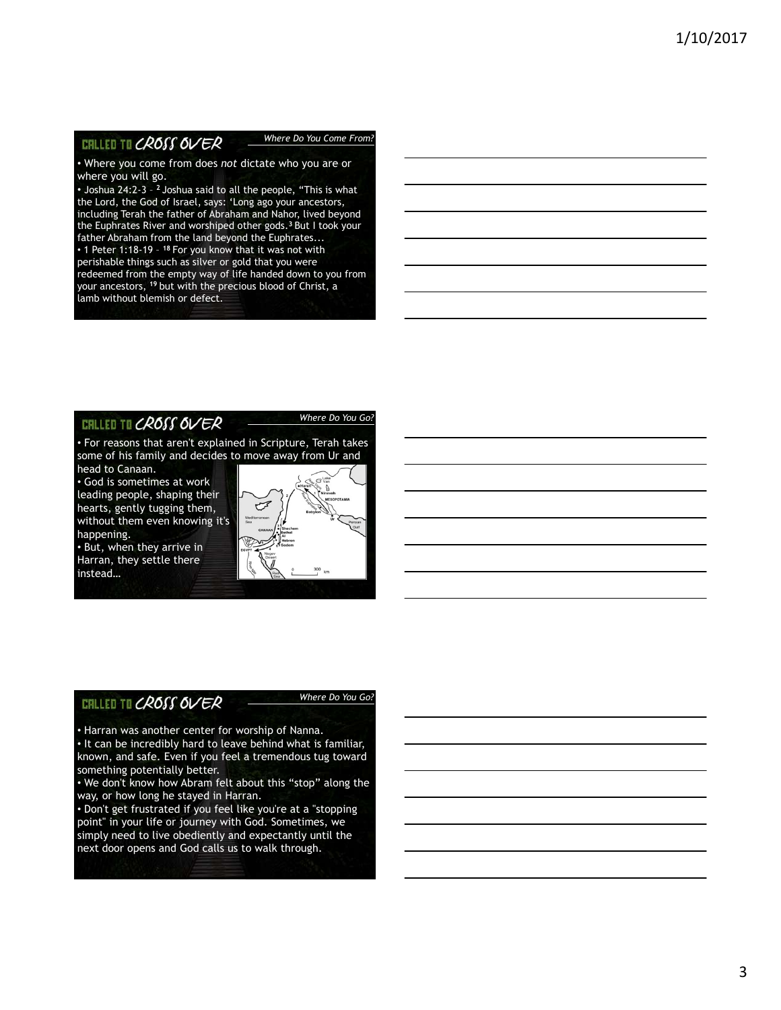#### **CRLLED TO CROSS OVER**

#### *Where Do You Come From?*

• Where you come from does *not* dictate who you are or where you will go.

• Joshua 24:2-3 – **<sup>2</sup>** Joshua said to all the people, "This is what the Lord, the God of Israel, says: 'Long ago your ancestors, including Terah the father of Abraham and Nahor, lived beyond the Euphrates River and worshiped other gods.**<sup>3</sup>** But I took your father Abraham from the land beyond the Euphrates...

• 1 Peter 1:18-19 – **<sup>18</sup>** For you know that it was not with perishable things such as silver or gold that you were redeemed from the empty way of life handed down to you from your ancestors, **<sup>19</sup>** but with the precious blood of Christ, a lamb without blemish or defect.

## CHLLED TO CROSS OVER

#### *Where Do You Go?*

• For reasons that aren't explained in Scripture, Terah takes some of his family and decides to move away from Ur and head to Canaan.

• God is sometimes at work leading people, shaping their hearts, gently tugging them, without them even knowing it's happening.

• But, when they arrive in Harran, they settle there instead…

# فيسهم

# **CHLLED TO CROSS OVER**

#### *Where Do You Go?*

• Harran was another center for worship of Nanna. • It can be incredibly hard to leave behind what is familiar, known, and safe. Even if you feel a tremendous tug toward something potentially better.

• We don't know how Abram felt about this "stop" along the way, or how long he stayed in Harran.

• Don't get frustrated if you feel like you're at a "stopping point" in your life or journey with God. Sometimes, we simply need to live obediently and expectantly until the next door opens and God calls us to walk through.